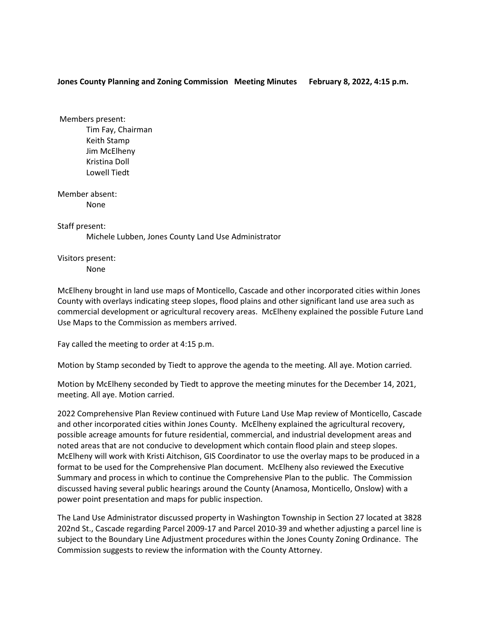## **Jones County Planning and Zoning Commission Meeting Minutes February 8, 2022, 4:15 p.m.**

Members present: Tim Fay, Chairman Keith Stamp Jim McElheny Kristina Doll Lowell Tiedt

Member absent: None

Staff present:

Michele Lubben, Jones County Land Use Administrator

Visitors present:

None

McElheny brought in land use maps of Monticello, Cascade and other incorporated cities within Jones County with overlays indicating steep slopes, flood plains and other significant land use area such as commercial development or agricultural recovery areas. McElheny explained the possible Future Land Use Maps to the Commission as members arrived.

Fay called the meeting to order at 4:15 p.m.

Motion by Stamp seconded by Tiedt to approve the agenda to the meeting. All aye. Motion carried.

Motion by McElheny seconded by Tiedt to approve the meeting minutes for the December 14, 2021, meeting. All aye. Motion carried.

2022 Comprehensive Plan Review continued with Future Land Use Map review of Monticello, Cascade and other incorporated cities within Jones County. McElheny explained the agricultural recovery, possible acreage amounts for future residential, commercial, and industrial development areas and noted areas that are not conducive to development which contain flood plain and steep slopes. McElheny will work with Kristi Aitchison, GIS Coordinator to use the overlay maps to be produced in a format to be used for the Comprehensive Plan document. McElheny also reviewed the Executive Summary and process in which to continue the Comprehensive Plan to the public. The Commission discussed having several public hearings around the County (Anamosa, Monticello, Onslow) with a power point presentation and maps for public inspection.

The Land Use Administrator discussed property in Washington Township in Section 27 located at 3828 202nd St., Cascade regarding Parcel 2009-17 and Parcel 2010-39 and whether adjusting a parcel line is subject to the Boundary Line Adjustment procedures within the Jones County Zoning Ordinance. The Commission suggests to review the information with the County Attorney.